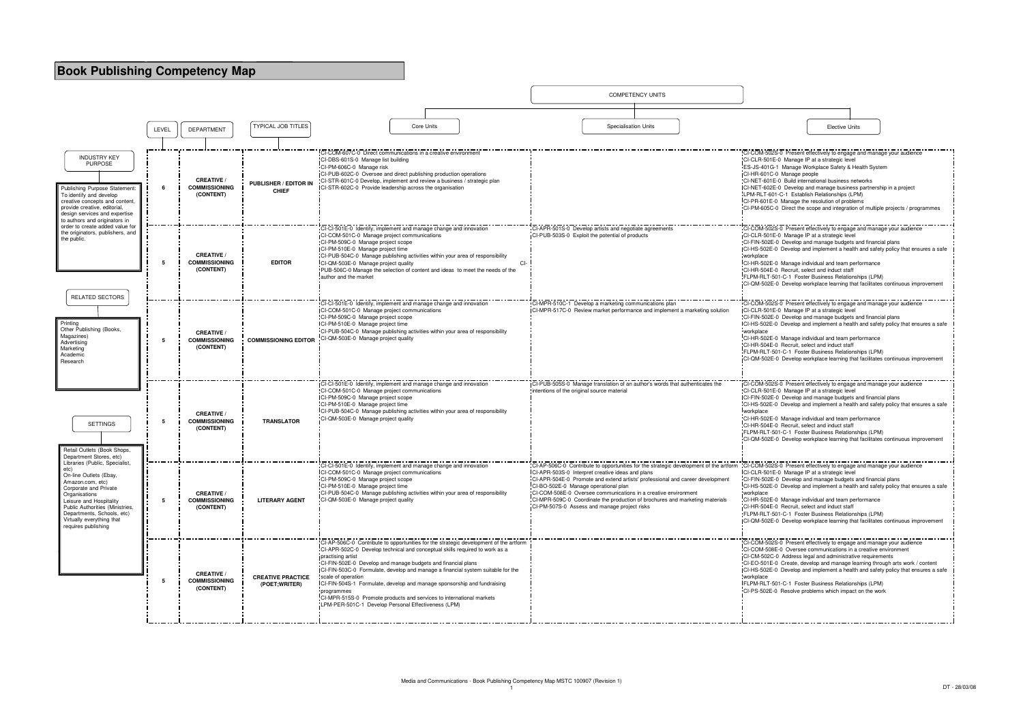

| <b>Elective Units</b>                                                                                                                                                                                                                                                                                                                                                                                                                                                                                                                     |
|-------------------------------------------------------------------------------------------------------------------------------------------------------------------------------------------------------------------------------------------------------------------------------------------------------------------------------------------------------------------------------------------------------------------------------------------------------------------------------------------------------------------------------------------|
|                                                                                                                                                                                                                                                                                                                                                                                                                                                                                                                                           |
| CI-COM-502S-0 Present effectively to engage and manage your audience<br>CI-CLR-501E-0 Manage IP at a strategic level<br>ES-JS-401G-1 Manage Workplace Safety & Health System<br>CI-HR-601C-0 Manage people<br>CI-NET-601E-0 Build international business networks<br>CI-NET-602E-0 Develop and manage business partnership in a project<br>LPM-RLT-601-C-1 Establish Relationships (LPM)<br>CI-PR-601E-0 Manage the resolution of problems<br>CI-PM-605C-0 Direct the scope and integration of multiple projects / programmes             |
| CI-COM-502S-0 Present effectively to engage and manage your audience<br>CI-CLR-501E-0 Manage IP at a strategic level<br>CI-FIN-502E-0 Develop and manage budgets and financial plans<br>CI-HS-502E-0 Develop and implement a health and safety policy that ensures a safe<br>workplace                                                                                                                                                                                                                                                    |
| CI-HR-502E-0 Manage individual and team performance<br>CI-HR-504E-0 Recruit, select and induct staff<br>FLPM-RLT-501-C-1 Foster Business Relationships (LPM)<br>CI-QM-502E-0 Develop workplace learning that facilitates continuous improvement                                                                                                                                                                                                                                                                                           |
| CI-COM-502S-0 Present effectively to engage and manage your audience<br>CI-CLR-501E-0 Manage IP at a strategic level<br>CI-FIN-502E-0 Develop and manage budgets and financial plans<br>CI-HS-502E-0 Develop and implement a health and safety policy that ensures a safe<br>workplace<br>CI-HR-502E-0 Manage individual and team performance<br>CI-HR-504E-0 Recruit, select and induct staff<br>FLPM-RLT-501-C-1 Foster Business Relationships (LPM)<br>CI-QM-502E-0 Develop workplace learning that facilitates continuous improvement |
| CI-COM-502S-0 Present effectively to engage and manage your audience<br>CI-CLR-501E-0 Manage IP at a strategic level<br>CI-FIN-502E-0 Develop and manage budgets and financial plans<br>CI-HS-502E-0 Develop and implement a health and safety policy that ensures a safe<br>workplace<br>CI-HR-502E-0 Manage individual and team performance<br>CI-HR-504E-0 Recruit, select and induct staff<br>FLPM-RLT-501-C-1 Foster Business Relationships (LPM)<br>CI-QM-502E-0 Develop workplace learning that facilitates continuous improvement |
| CI-COM-502S-0 Present effectively to engage and manage your audience<br>CI-CLR-501E-0 Manage IP at a strategic level<br>CI-FIN-502E-0 Develop and manage budgets and financial plans<br>CI-HS-502E-0 Develop and implement a health and safety policy that ensures a safe<br>workplace<br>CI-HR-502E-0 Manage individual and team performance<br>CI-HR-504E-0 Recruit, select and induct staff<br>FLPM-RLT-501-C-1 Foster Business Relationships (LPM)<br>CI-QM-502E-0 Develop workplace learning that facilitates continuous improvement |
| CI-COM-502S-0 Present effectively to engage and manage your audience<br>CI-COM-508E-0 Oversee communications in a creative environment<br>CI-CM-502C-0 Address legal and administrative requirements<br>CI-EO-501E-0 Create, develop and manage learning through arts work / content<br>CI-HS-502E-0 Develop and implement a health and safety policy that ensures a safe<br>workplace<br>FLPM-RLT-501-C-1 Foster Business Relationships (LPM)<br>CI-PS-502E-0 Resolve problems which impact on the work                                  |
|                                                                                                                                                                                                                                                                                                                                                                                                                                                                                                                                           |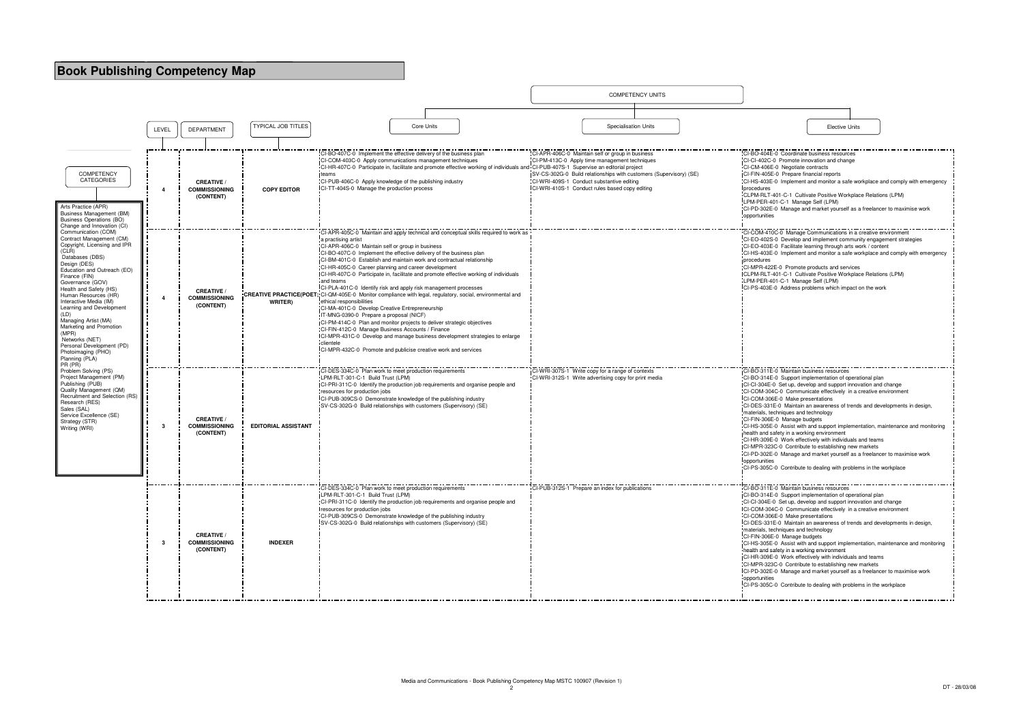

| <b>Elective Units</b>                                                                                                                                                                                                                                                                                                                                                                                                                                                                                                                                                                                                          |
|--------------------------------------------------------------------------------------------------------------------------------------------------------------------------------------------------------------------------------------------------------------------------------------------------------------------------------------------------------------------------------------------------------------------------------------------------------------------------------------------------------------------------------------------------------------------------------------------------------------------------------|
| CI-BO-404E-0 Coordinate business resources<br>CI-CI-402C-0 Promote innovation and change<br>CI-CM-406E-0 Negotiate contracts<br>CI-FIN-405E-0 Prepare financial reports<br>CI-HS-403E-0 Implement and monitor a safe workplace and comply with emergency                                                                                                                                                                                                                                                                                                                                                                       |
| procedures<br>CLPM-RLT-401-C-1 Cultivate Positive Workplace Relations (LPM)<br>LPM-PER-401-C-1 Manage Self (LPM)<br>CI-PD-302E-0 Manage and market yourself as a freelancer to maximise work<br>opportunities                                                                                                                                                                                                                                                                                                                                                                                                                  |
| CI-COM-410C-0 Manage Communications in a creative environment<br>CI-EO-402S-0 Develop and implement community engagement strategies<br>CI-EO-403E-0 Facilitate learning through arts work / content<br>CI-HS-403E-0 Implement and monitor a safe workplace and comply with emergency<br>procedures<br>CI-MPR-422E-0 Promote products and services<br>CLPM-RLT-401-C-1 Cultivate Positive Workplace Relations (LPM)<br>LPM-PER-401-C-1 Manage Self (LPM)                                                                                                                                                                        |
| CI-PS-403E-0 Address problems which impact on the work                                                                                                                                                                                                                                                                                                                                                                                                                                                                                                                                                                         |
| CI-BO-311E-0 Maintain business resources<br>CI-BO-314E-0 Support implementation of operational plan                                                                                                                                                                                                                                                                                                                                                                                                                                                                                                                            |
| CI-CI-304E-0 Set up, develop and support innovation and change<br>CI-COM-304C-0 Communicate effectively in a creative environment<br>CI-COM-306E-0 Make presentations<br>CI-DES-331E-0 Maintain an awareness of trends and developments in design,                                                                                                                                                                                                                                                                                                                                                                             |
| materials, techniques and technology<br>CI-FIN-306E-0 Manage budgets<br>CI-HS-305E-0 Assist with and support implementation, maintenance and monitoring                                                                                                                                                                                                                                                                                                                                                                                                                                                                        |
| health and safety in a working environment<br>CI-HR-309E-0 Work effectively with individuals and teams<br>CI-MPR-323C-0 Contribute to establishing new markets<br>CI-PD-302E-0 Manage and market yourself as a freelancer to maximise work                                                                                                                                                                                                                                                                                                                                                                                     |
| opportunities<br>CI-PS-305C-0 Contribute to dealing with problems in the workplace                                                                                                                                                                                                                                                                                                                                                                                                                                                                                                                                             |
| CI-BO-311E-0 Maintain business resources<br>CI-BO-314E-0 Support implementation of operational plan<br>CI-CI-304E-0 Set up, develop and support innovation and change<br>CI-COM-304C-0 Communicate effectively in a creative environment<br>CI-COM-306E-0 Make presentations<br>CI-DES-331E-0 Maintain an awareness of trends and developments in design,<br>materials, techniques and technology<br>CI-FIN-306E-0 Manage budgets<br>CI-HS-305E-0 Assist with and support implementation, maintenance and monitoring<br>health and safety in a working environment<br>CI-HR-309E-0 Work effectively with individuals and teams |
| CI-MPR-323C-0 Contribute to establishing new markets<br>CI-PD-302E-0 Manage and market yourself as a freelancer to maximise work<br>opportunities<br>CI-PS-305C-0 Contribute to dealing with problems in the workplace<br>.                                                                                                                                                                                                                                                                                                                                                                                                    |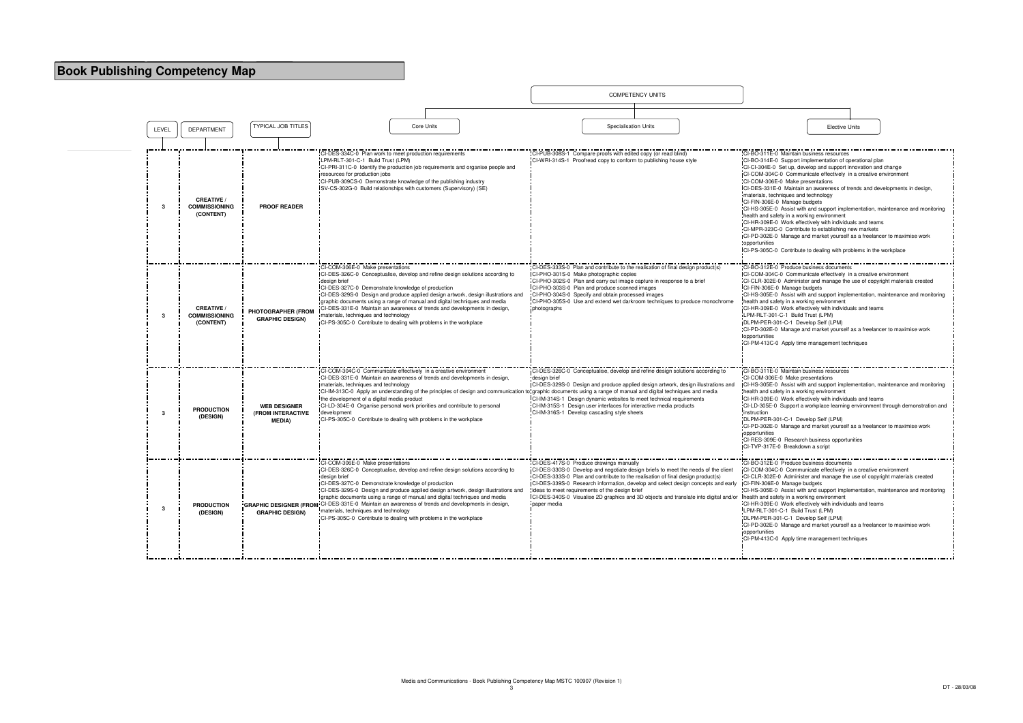|       |                                                        |                                                            |                                                                                                                                                                                                                                                                                                                                                                                                                                                                                                                                                                               | <b>COMPETENCY UNITS</b>                                                                                                                                                                                                                                                                                                                                                                                                                                                                                   |                                                                                                                                                                                                                                                                                                                                                                                                                                                                                                                                                                                                                                                                            |
|-------|--------------------------------------------------------|------------------------------------------------------------|-------------------------------------------------------------------------------------------------------------------------------------------------------------------------------------------------------------------------------------------------------------------------------------------------------------------------------------------------------------------------------------------------------------------------------------------------------------------------------------------------------------------------------------------------------------------------------|-----------------------------------------------------------------------------------------------------------------------------------------------------------------------------------------------------------------------------------------------------------------------------------------------------------------------------------------------------------------------------------------------------------------------------------------------------------------------------------------------------------|----------------------------------------------------------------------------------------------------------------------------------------------------------------------------------------------------------------------------------------------------------------------------------------------------------------------------------------------------------------------------------------------------------------------------------------------------------------------------------------------------------------------------------------------------------------------------------------------------------------------------------------------------------------------------|
|       |                                                        |                                                            |                                                                                                                                                                                                                                                                                                                                                                                                                                                                                                                                                                               |                                                                                                                                                                                                                                                                                                                                                                                                                                                                                                           |                                                                                                                                                                                                                                                                                                                                                                                                                                                                                                                                                                                                                                                                            |
| LEVEL | <b>DEPARTMENT</b>                                      | <b>TYPICAL JOB TITLES</b>                                  | Core Units                                                                                                                                                                                                                                                                                                                                                                                                                                                                                                                                                                    | <b>Specialisation Units</b>                                                                                                                                                                                                                                                                                                                                                                                                                                                                               | <b>Elective Units</b>                                                                                                                                                                                                                                                                                                                                                                                                                                                                                                                                                                                                                                                      |
|       |                                                        |                                                            |                                                                                                                                                                                                                                                                                                                                                                                                                                                                                                                                                                               |                                                                                                                                                                                                                                                                                                                                                                                                                                                                                                           |                                                                                                                                                                                                                                                                                                                                                                                                                                                                                                                                                                                                                                                                            |
| 3     | <b>CREATIVE /</b><br><b>COMMISSIONING</b><br>(CONTENT) | <b>PROOF READER</b>                                        | CI-DES-334C-0 Plan work to meet production requirements<br>LPM-RLT-301-C-1 Build Trust (LPM)<br>CI-PRI-311C-0 Identify the production job requirements and organise people and<br>resources for production jobs<br>CI-PUB-309CS-0 Demonstrate knowledge of the publishing industry<br>SV-CS-302G-0 Build relationships with customers (Supervisory) (SE)                                                                                                                                                                                                                      | CI-PUB-308S-1 Compare proofs with edited copy (or read blind)<br>CI-WRI-314S-1 Proofread copy to conform to publishing house style                                                                                                                                                                                                                                                                                                                                                                        | CI-BO-311E-0 Maintain business resources<br>CI-BO-314E-0 Support implementation of opera<br>CI-CI-304E-0 Set up, develop and support innov<br>CI-COM-304C-0 Communicate effectively in a<br>CI-COM-306E-0 Make presentations<br>CI-DES-331E-0 Maintain an awareness of trend<br>materials, techniques and technology<br>CI-FIN-306E-0 Manage budgets<br>CI-HS-305E-0 Assist with and support implemer<br>health and safety in a working environment<br>CI-HR-309E-0 Work effectively with individuals<br>CI-MPR-323C-0 Contribute to establishing new<br>CI-PD-302E-0 Manage and market yourself as a<br>opportunities<br>ICI-PS-305C-0 Contribute to dealing with probler |
| 3     | <b>CREATIVE</b><br><b>COMMISSIONING</b><br>(CONTENT)   | PHOTOGRAPHER (FROM<br><b>GRAPHIC DESIGN)</b>               | CI-COM-306E-0 Make presentations<br>CI-DES-326C-0 Conceptualise, develop and refine design solutions according to<br>design brief<br>CI-DES-327C-0 Demonstrate knowledge of production<br>CI-DES-329S-0 Design and produce applied design artwork, design illustrations and<br>graphic documents using a range of manual and digital techniques and media<br>CI-DES-331E-0 Maintain an awareness of trends and developments in design,<br>materials, techniques and technology<br>ICI-PS-305C-0 Contribute to dealing with problems in the workplace                          | CI-DES-333S-0 Plan and contribute to the realisation of final design product(s)<br>CI-PHO-301S-0 Make photographic copies<br>CI-PHO-302S-0 Plan and carry out image capture in response to a brief<br>CI-PHO-303S-0 Plan and produce scanned images<br>CI-PHO-304S-0 Specify and obtain processed images<br>CI-PHO-305S-0 Use and extend wet darkroom techniques to produce monochrome<br>photographs                                                                                                     | CI-BO-312E-0 Produce business documents<br>CI-COM-304C-0 Communicate effectively in a<br>CI-CLR-302E-0 Administer and manage the use<br>CI-FIN-306E-0 Manage budgets<br>CI-HS-305E-0 Assist with and support implemer<br>health and safety in a working environment<br>CI-HR-309E-0 Work effectively with individuals<br>LPM-RLT-301-C-1 Build Trust (LPM)<br>DLPM-PER-301-C-1 Develop Self (LPM)<br>:CI-PD-302E-0 Manage and market yourself as a<br>opportunities<br>CI-PM-413C-0 Apply time management techniq                                                                                                                                                          |
| 3     | <b>PRODUCTION</b><br>(DESIGN)                          | <b>WEB DESIGNER</b><br>(FROM INTERACTIVE<br><b>MEDIA</b> ) | CI-COM-304C-0 Communicate effectively in a creative environment<br>CI-DES-331E-0 Maintain an awareness of trends and developments in design,<br>materials, techniques and technology<br>CI-IM-313C-0 Apply an understanding of the principles of design and communication to graphic documents using a range of manual and digital techniques and media<br>the development of a digital media product<br>CI-LD-304E-0 Organise personal work priorities and contribute to personal<br>development<br>CI-PS-305C-0 Contribute to dealing with problems in the workplace        | CI-DES-326C-0 Conceptualise, develop and refine design solutions according to<br>design brief<br>CI-DES-329S-0 Design and produce applied design artwork, design illustrations and<br>CI-IM-314S-1 Design dynamic websites to meet technical requirements<br>CI-IM-315S-1 Design user interfaces for interactive media products<br>CI-IM-316S-1 Develop cascading style sheets                                                                                                                            | CI-BO-311E-0 Maintain business resources<br>CI-COM-306E-0 Make presentations<br>CI-HS-305E-0 Assist with and support implemer<br>health and safety in a working environment<br>ICI-HR-309E-0 Work effectively with individuals a<br>CI-LD-305E-0 Support a workplace learning env<br>instruction<br>DLPM-PER-301-C-1 Develop Self (LPM)<br>CI-PD-302E-0 Manage and market yourself as a<br>opportunities<br>CI-RES-309E-0 Research business opportunitie<br>ICI-TVP-317E-0 Breakdown a script                                                                                                                                                                              |
| 3     | <b>PRODUCTION</b><br>(DESIGN)                          | <b>GRAPHIC DESIGN)</b>                                     | CI-COM-306E-0 Make presentations<br>CI-DES-326C-0 Conceptualise, develop and refine design solutions according to<br>design brief<br>ICI-DES-327C-0 Demonstrate knowledge of production<br>CI-DES-329S-0 Design and produce applied design artwork, design illustrations and<br>graphic documents using a range of manual and digital techniques and media<br>GRAPHIC DESIGNER (FROM: CI-DES-331E-0 Maintain an awareness of trends and developments in design,<br>materials, techniques and technology<br>"CI-PS-305C-0 Contribute to dealing with problems in the workplace | CI-DES-417S-0 Produce drawings manually<br>CI-DES-330S-0 Develop and negotiate design briefs to meet the needs of the client<br>CI-DES-333S-0 Plan and contribute to the realisation of final design product(s)<br>CI-DES-339S-0 Research information, develop and select design concepts and early<br>ideas to meet requirements of the design brief<br>ICI-DES-340S-0 Visualise 2D graphics and 3D objects and translate into digital and/or Ihealth and safety in a working environment<br>paper media | CI-BO-312E-0 Produce business documents<br>CI-COM-304C-0 Communicate effectively in a<br>CI-CLR-302E-0 Administer and manage the use<br>CI-FIN-306E-0 Manage budgets<br>CI-HS-305E-0 Assist with and support implemer<br>CI-HR-309E-0 Work effectively with individuals<br>LPM-RLT-301-C-1 Build Trust (LPM)<br>DLPM-PER-301-C-1 Develop Self (LPM)<br>CI-PD-302E-0 Manage and market yourself as a<br>opportunities<br>CI-PM-413C-0 Apply time management techniq                                                                                                                                                                                                         |

|                                                                                                                                                                                                                                                                                                                                                                                                                                                                                                                                                                                                                                                                                                                                                                                                                                                          | <b>Elective Units</b> |  |
|----------------------------------------------------------------------------------------------------------------------------------------------------------------------------------------------------------------------------------------------------------------------------------------------------------------------------------------------------------------------------------------------------------------------------------------------------------------------------------------------------------------------------------------------------------------------------------------------------------------------------------------------------------------------------------------------------------------------------------------------------------------------------------------------------------------------------------------------------------|-----------------------|--|
|                                                                                                                                                                                                                                                                                                                                                                                                                                                                                                                                                                                                                                                                                                                                                                                                                                                          |                       |  |
| CI-BO-311E-0 Maintain business resources<br>CI-BO-314E-0 Support implementation of operational plan<br>CI-CI-304E-0 Set up, develop and support innovation and change<br>CI-COM-304C-0 Communicate effectively in a creative environment<br>CI-COM-306E-0 Make presentations<br>CI-DES-331E-0 Maintain an awareness of trends and developments in design,<br>materials, techniques and technology<br>CI-FIN-306E-0 Manage budgets<br>CI-HS-305E-0 Assist with and support implementation, maintenance and monitoring<br>health and safety in a working environment<br>CI-HR-309E-0 Work effectively with individuals and teams<br>CI-MPR-323C-0 Contribute to establishing new markets<br>CI-PD-302E-0 Manage and market yourself as a freelancer to maximise work<br>opportunities<br>CI-PS-305C-0 Contribute to dealing with problems in the workplace |                       |  |
| CI-BO-312E-0 Produce business documents<br>CI-COM-304C-0 Communicate effectively in a creative environment<br>CI-CLR-302E-0 Administer and manage the use of copyright materials created<br>CI-FIN-306E-0 Manage budgets<br>CI-HS-305E-0 Assist with and support implementation, maintenance and monitoring<br>health and safety in a working environment<br>CI-HR-309E-0 Work effectively with individuals and teams<br>LPM-RLT-301-C-1 Build Trust (LPM)<br>DLPM-PER-301-C-1 Develop Self (LPM)<br>CI-PD-302E-0 Manage and market yourself as a freelancer to maximise work<br>opportunities<br>CI-PM-413C-0 Apply time management techniques                                                                                                                                                                                                          |                       |  |
| CI-BO-311E-0 Maintain business resources<br>CI-COM-306E-0 Make presentations<br>CI-HS-305E-0 Assist with and support implementation, maintenance and monitoring<br>health and safety in a working environment<br>CI-HR-309E-0 Work effectively with individuals and teams<br>CI-LD-305E-0 Support a workplace learning environment through demonstration and<br>instruction<br>DLPM-PER-301-C-1 Develop Self (LPM)<br>CI-PD-302E-0 Manage and market yourself as a freelancer to maximise work<br>opportunities<br>CI-RES-309E-0 Research business opportunities<br>CI-TVP-317E-0 Breakdown a script<br>CI-BO-312E-0 Produce business documents                                                                                                                                                                                                          |                       |  |
| CI-COM-304C-0 Communicate effectively in a creative environment<br>CI-CLR-302E-0 Administer and manage the use of copyright materials created<br>CI-FIN-306E-0 Manage budgets<br>CI-HS-305E-0 Assist with and support implementation, maintenance and monitoring<br>health and safety in a working environment<br>CI-HR-309E-0 Work effectively with individuals and teams<br>LPM-RLT-301-C-1 Build Trust (LPM)<br>DLPM-PER-301-C-1 Develop Self (LPM)<br>CI-PD-302E-0 Manage and market yourself as a freelancer to maximise work<br>opportunities<br>CI-PM-413C-0 Apply time management techniques                                                                                                                                                                                                                                                     |                       |  |
|                                                                                                                                                                                                                                                                                                                                                                                                                                                                                                                                                                                                                                                                                                                                                                                                                                                          |                       |  |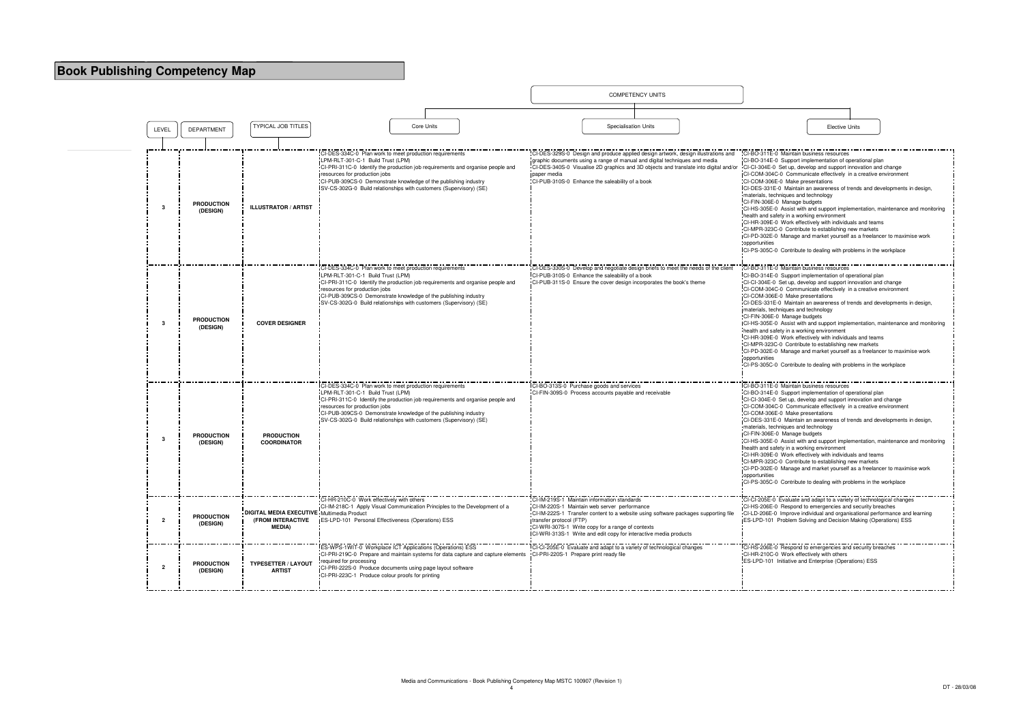|                |                               |                                                                                          |                                                                                                                                                                                                                                                                                                                                                          |            |                                                                        | <b>COMPETENCY UNITS</b>                                                                                                                                                                                                                                    |                                                                                                                                                                                                                                                                                                                                                                                                                                                                                                                                                                                                                                                                                                                                                                                                  |                       |  |
|----------------|-------------------------------|------------------------------------------------------------------------------------------|----------------------------------------------------------------------------------------------------------------------------------------------------------------------------------------------------------------------------------------------------------------------------------------------------------------------------------------------------------|------------|------------------------------------------------------------------------|------------------------------------------------------------------------------------------------------------------------------------------------------------------------------------------------------------------------------------------------------------|--------------------------------------------------------------------------------------------------------------------------------------------------------------------------------------------------------------------------------------------------------------------------------------------------------------------------------------------------------------------------------------------------------------------------------------------------------------------------------------------------------------------------------------------------------------------------------------------------------------------------------------------------------------------------------------------------------------------------------------------------------------------------------------------------|-----------------------|--|
|                |                               |                                                                                          |                                                                                                                                                                                                                                                                                                                                                          |            |                                                                        |                                                                                                                                                                                                                                                            |                                                                                                                                                                                                                                                                                                                                                                                                                                                                                                                                                                                                                                                                                                                                                                                                  |                       |  |
| LEVEL          | <b>DEPARTMENT</b>             | <b>TYPICAL JOB TITLES</b>                                                                |                                                                                                                                                                                                                                                                                                                                                          | Core Units |                                                                        | <b>Specialisation Units</b>                                                                                                                                                                                                                                |                                                                                                                                                                                                                                                                                                                                                                                                                                                                                                                                                                                                                                                                                                                                                                                                  | <b>Elective Units</b> |  |
|                |                               |                                                                                          | CI-DES-334C-0 Plan work to meet production requirements<br>LPM-RLT-301-C-1 Build Trust (LPM)<br>CI-PRI-311C-0 Identify the production job requirements and organise people and                                                                                                                                                                           |            |                                                                        | CI-DES-329S-0 Design and produce applied design artwork, design illustrations and<br>graphic documents using a range of manual and digital techniques and media<br>CI-DES-340S-0 Visualise 2D graphics and 3D objects and translate into digital and/or    | CI-BO-311E-0 Maintain business resources<br>CI-BO-314E-0 Support implementation of operational plan<br>CI-CI-304E-0 Set up, develop and support innovation and char                                                                                                                                                                                                                                                                                                                                                                                                                                                                                                                                                                                                                              |                       |  |
| -3             | <b>PRODUCTION</b><br>(DESIGN) | <b>ILLUSTRATOR / ARTIST</b>                                                              | resources for production jobs<br>CI-PUB-309CS-0 Demonstrate knowledge of the publishing industry<br>SV-CS-302G-0 Build relationships with customers (Supervisory) (SE)                                                                                                                                                                                   |            | paper media                                                            | CI-PUB-310S-0 Enhance the saleability of a book                                                                                                                                                                                                            | CI-COM-304C-0 Communicate effectively in a creative enviror<br>CI-COM-306E-0 Make presentations<br>CI-DES-331E-0 Maintain an awareness of trends and developr<br>materials, techniques and technology<br>CI-FIN-306E-0 Manage budgets<br>CI-HS-305E-0 Assist with and support implementation, mainter<br>health and safety in a working environment<br>CI-HR-309E-0 Work effectively with individuals and teams<br>CI-MPR-323C-0 Contribute to establishing new markets<br>CI-PD-302E-0 Manage and market yourself as a freelancer to<br>opportunities<br>CI-PS-305C-0 Contribute to dealing with problems in the workp                                                                                                                                                                          |                       |  |
|                |                               |                                                                                          | CI-DES-334C-0 Plan work to meet production requirements                                                                                                                                                                                                                                                                                                  |            |                                                                        | CI-DES-330S-0 Develop and negotiate design briefs to meet the needs of the client                                                                                                                                                                          | CI-BO-311E-0 Maintain business resources                                                                                                                                                                                                                                                                                                                                                                                                                                                                                                                                                                                                                                                                                                                                                         |                       |  |
| -3             | <b>PRODUCTION</b><br>(DESIGN) | <b>COVER DESIGNER</b>                                                                    | LPM-RLT-301-C-1 Build Trust (LPM)<br>CI-PRI-311C-0 Identify the production job requirements and organise people and<br>resources for production jobs<br>CI-PUB-309CS-0 Demonstrate knowledge of the publishing industry<br>SV-CS-302G-0 Build relationships with customers (Supervisory) (SE)                                                            |            |                                                                        | CI-PUB-310S-0 Enhance the saleability of a book<br>CI-PUB-311S-0 Ensure the cover design incorporates the book's theme                                                                                                                                     | CI-BO-314E-0 Support implementation of operational plan<br>CI-CI-304E-0 Set up, develop and support innovation and char-<br>CI-COM-304C-0 Communicate effectively in a creative enviror<br>CI-COM-306E-0 Make presentations<br>CI-DES-331E-0 Maintain an awareness of trends and developr<br>materials, techniques and technology<br>CI-FIN-306E-0 Manage budgets<br>CI-HS-305E-0 Assist with and support implementation, mainter<br>health and safety in a working environment<br>CI-HR-309E-0 Work effectively with individuals and teams<br>CI-MPR-323C-0 Contribute to establishing new markets<br>CI-PD-302E-0 Manage and market yourself as a freelancer to<br>opportunities<br>CI-PS-305C-0 Contribute to dealing with problems in the workp                                              |                       |  |
| -3             | <b>PRODUCTION</b><br>(DESIGN) | <b>PRODUCTION</b><br><b>COORDINATOR</b>                                                  | CI-DES-334C-0 Plan work to meet production requirements<br>LPM-RLT-301-C-1 Build Trust (LPM)<br>CI-PRI-311C-0 Identify the production job requirements and organise people and<br>resources for production jobs<br>CI-PUB-309CS-0 Demonstrate knowledge of the publishing industry<br>SV-CS-302G-0 Build relationships with customers (Supervisory) (SE) |            | ICI-BO-313S-0 Purchase goods and services                              | CI-FIN-309S-0 Process accounts payable and receivable                                                                                                                                                                                                      | CI-BO-311E-0 Maintain business resources<br>CI-BO-314E-0 Support implementation of operational plan<br>CI-CI-304E-0 Set up, develop and support innovation and char<br>-CI-COM-304C-0 Communicate effectively in a creative enviror<br>CI-COM-306E-0 Make presentations<br>CI-DES-331E-0 Maintain an awareness of trends and developre<br>materials, techniques and technology<br>CI-FIN-306E-0 Manage budgets<br>CI-HS-305E-0 Assist with and support implementation, mainter<br>health and safety in a working environment<br>CI-HR-309E-0 Work effectively with individuals and teams<br>CI-MPR-323C-0 Contribute to establishing new markets<br>CI-PD-302E-0 Manage and market yourself as a freelancer to<br>opportunities<br>CI-PS-305C-0 Contribute to dealing with problems in the workp |                       |  |
| $\overline{2}$ | <b>PRODUCTION</b><br>(DESIGN) | <b>DIGITAL MEDIA EXECUTIVE Multimedia Product</b><br>(FROM INTERACTIVE<br><b>MEDIA</b> ) | CI-HR-210C-0 Work effectively with others<br>CI-IM-218C-1 Apply Visual Communication Principles to the Development of a<br><b>IES-LPD-101 Personal Effectiveness (Operations) ESS</b>                                                                                                                                                                    |            | CI-IM-219S-1 Maintain information standards<br>transfer protocol (FTP) | CI-IM-220S-1 Maintain web server performance<br>CI-IM-222S-1 Transfer content to a website using software packages supporting file<br>CI-WRI-307S-1 Write copy for a range of contexts<br>CI-WRI-313S-1 Write and edit copy for interactive media products | CI-CI-205E-0 Evaluate and adapt to a variety of technological<br>CI-HS-206E-0 Respond to emergencies and security breaches<br>CI-LD-206E-0 Improve individual and organisational performar<br>ES-LPD-101 Problem Solving and Decision Making (Operation                                                                                                                                                                                                                                                                                                                                                                                                                                                                                                                                          |                       |  |
| $\overline{2}$ | <b>PRODUCTION</b><br>(DESIGN) | <b>TYPESETTER / LAYOUT</b><br><b>ARTIST</b>                                              | <b>ES-WPS-1WIT-0 Workplace ICT Applications (Operations) ESS</b><br>CI-PRI-219C-0 Prepare and maintain systems for data capture and capture elements<br>required for processing<br>CI-PRI-222S-0 Produce documents using page layout software<br>CI-PRI-223C-1 Produce colour proofs for printing                                                        |            | CI-PRI-220S-1 Prepare print ready file                                 | CI-CI-205E-0 Evaluate and adapt to a variety of technological changes                                                                                                                                                                                      | CI-HS-206E-0 Respond to emergencies and security breaches<br>CI-HR-210C-0 Work effectively with others<br>ES-LPD-101 Initiative and Enterprise (Operations) ESS                                                                                                                                                                                                                                                                                                                                                                                                                                                                                                                                                                                                                                  |                       |  |

|                                                                                                                                                | <b>Elective Units</b> |                                                                                 |
|------------------------------------------------------------------------------------------------------------------------------------------------|-----------------------|---------------------------------------------------------------------------------|
|                                                                                                                                                |                       |                                                                                 |
| CI-BO-311E-0 Maintain business resources                                                                                                       |                       |                                                                                 |
| CI-BO-314E-0 Support implementation of operational plan                                                                                        |                       |                                                                                 |
| CI-CI-304E-0 Set up, develop and support innovation and change<br>CI-COM-304C-0 Communicate effectively in a creative environment              |                       |                                                                                 |
| CI-COM-306E-0 Make presentations                                                                                                               |                       |                                                                                 |
| CI-DES-331E-0 Maintain an awareness of trends and developments in design,                                                                      |                       |                                                                                 |
| materials, techniques and technology<br>CI-FIN-306E-0 Manage budgets                                                                           |                       |                                                                                 |
|                                                                                                                                                |                       | CI-HS-305E-0 Assist with and support implementation, maintenance and monitoring |
| health and safety in a working environment                                                                                                     |                       |                                                                                 |
| CI-HR-309E-0 Work effectively with individuals and teams<br>CI-MPR-323C-0 Contribute to establishing new markets                               |                       |                                                                                 |
| CI-PD-302E-0 Manage and market yourself as a freelancer to maximise work                                                                       |                       |                                                                                 |
| opportunities                                                                                                                                  |                       |                                                                                 |
| CI-PS-305C-0 Contribute to dealing with problems in the workplace                                                                              |                       |                                                                                 |
| CI-BO-311E-0 Maintain business resources                                                                                                       |                       |                                                                                 |
| CI-BO-314E-0 Support implementation of operational plan                                                                                        |                       |                                                                                 |
| CI-CI-304E-0 Set up, develop and support innovation and change<br>CI-COM-304C-0 Communicate effectively in a creative environment              |                       |                                                                                 |
| CI-COM-306E-0 Make presentations                                                                                                               |                       |                                                                                 |
| CI-DES-331E-0 Maintain an awareness of trends and developments in design,                                                                      |                       |                                                                                 |
| materials, techniques and technology<br>CI-FIN-306E-0 Manage budgets                                                                           |                       |                                                                                 |
|                                                                                                                                                |                       | CI-HS-305E-0 Assist with and support implementation, maintenance and monitoring |
| health and safety in a working environment<br>CI-HR-309E-0 Work effectively with individuals and teams                                         |                       |                                                                                 |
| CI-MPR-323C-0 Contribute to establishing new markets                                                                                           |                       |                                                                                 |
| CI-PD-302E-0 Manage and market yourself as a freelancer to maximise work                                                                       |                       |                                                                                 |
| opportunities<br>CI-PS-305C-0 Contribute to dealing with problems in the workplace                                                             |                       |                                                                                 |
|                                                                                                                                                |                       |                                                                                 |
| CI-BO-311E-0 Maintain business resources                                                                                                       |                       |                                                                                 |
| CI-BO-314E-0 Support implementation of operational plan                                                                                        |                       |                                                                                 |
| CI-CI-304E-0 Set up, develop and support innovation and change<br>CI-COM-304C-0 Communicate effectively in a creative environment              |                       |                                                                                 |
| CI-COM-306E-0 Make presentations                                                                                                               |                       |                                                                                 |
| CI-DES-331E-0 Maintain an awareness of trends and developments in design,                                                                      |                       |                                                                                 |
| materials, techniques and technology<br>CI-FIN-306E-0 Manage budgets                                                                           |                       |                                                                                 |
|                                                                                                                                                |                       | CI-HS-305E-0 Assist with and support implementation, maintenance and monitoring |
| health and safety in a working environment<br>CI-HR-309E-0 Work effectively with individuals and teams                                         |                       |                                                                                 |
| CI-MPR-323C-0 Contribute to establishing new markets                                                                                           |                       |                                                                                 |
| CI-PD-302E-0 Manage and market yourself as a freelancer to maximise work                                                                       |                       |                                                                                 |
| opportunities<br>CI-PS-305C-0 Contribute to dealing with problems in the workplace                                                             |                       |                                                                                 |
|                                                                                                                                                |                       |                                                                                 |
| CI-CI-205E-0 Lvaluate and adapt to a variety of technological cnanges                                                                          |                       |                                                                                 |
| CI-HS-206E-0 Respond to emergencies and security breaches                                                                                      |                       |                                                                                 |
| CI-LD-206E-0 Improve individual and organisational performance and learning<br>ES-LPD-101 Problem Solving and Decision Making (Operations) ESS |                       |                                                                                 |
|                                                                                                                                                |                       |                                                                                 |
|                                                                                                                                                |                       |                                                                                 |
| CI-HS-206E-0 Respond to emergencies and security breaches<br>CI-HR-210C-0 Work effectively with others                                         |                       |                                                                                 |
| ES-LPD-101 Initiative and Enterprise (Operations) ESS                                                                                          |                       |                                                                                 |
|                                                                                                                                                |                       |                                                                                 |
|                                                                                                                                                |                       |                                                                                 |
|                                                                                                                                                |                       |                                                                                 |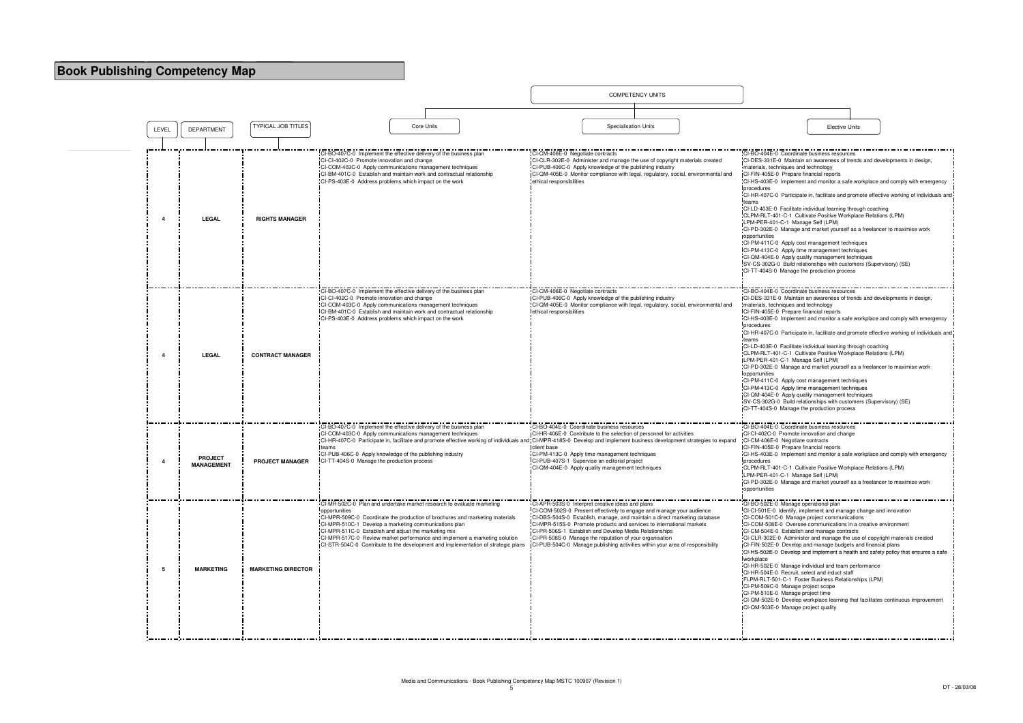|       |                                     |                           |                                                                                                                                                                                                                                                                                                                                                                        |            |                                                                                                                                                                        |                                                              |                                                                                                                                                                                                                                                                                                                                                                                                                                                                                      | <b>COMPETENCY UNITS</b> |                                                                                    |                                                                                                                                                                                                                                                                                                                                                                                                                                                                                                                                                                                                                                                                                                                                                                         |                       |
|-------|-------------------------------------|---------------------------|------------------------------------------------------------------------------------------------------------------------------------------------------------------------------------------------------------------------------------------------------------------------------------------------------------------------------------------------------------------------|------------|------------------------------------------------------------------------------------------------------------------------------------------------------------------------|--------------------------------------------------------------|--------------------------------------------------------------------------------------------------------------------------------------------------------------------------------------------------------------------------------------------------------------------------------------------------------------------------------------------------------------------------------------------------------------------------------------------------------------------------------------|-------------------------|------------------------------------------------------------------------------------|-------------------------------------------------------------------------------------------------------------------------------------------------------------------------------------------------------------------------------------------------------------------------------------------------------------------------------------------------------------------------------------------------------------------------------------------------------------------------------------------------------------------------------------------------------------------------------------------------------------------------------------------------------------------------------------------------------------------------------------------------------------------------|-----------------------|
|       |                                     |                           |                                                                                                                                                                                                                                                                                                                                                                        |            |                                                                                                                                                                        |                                                              |                                                                                                                                                                                                                                                                                                                                                                                                                                                                                      |                         |                                                                                    |                                                                                                                                                                                                                                                                                                                                                                                                                                                                                                                                                                                                                                                                                                                                                                         |                       |
| LEVEL | <b>DEPARTMENT</b>                   | <b>TYPICAL JOB TITLES</b> |                                                                                                                                                                                                                                                                                                                                                                        | Core Units |                                                                                                                                                                        |                                                              | Specialisation Units                                                                                                                                                                                                                                                                                                                                                                                                                                                                 |                         |                                                                                    |                                                                                                                                                                                                                                                                                                                                                                                                                                                                                                                                                                                                                                                                                                                                                                         | <b>Elective Units</b> |
| 4     | <b>LEGAL</b>                        | <b>RIGHTS MANAGER</b>     | CI-BO-407C-0 Implement the effective delivery of the business plan<br>CI-CI-402C-0 Promote innovation and change<br>CI-COM-403C-0 Apply communications management techniques<br>CI-BM-401C-0 Establish and maintain work and contractual relationship<br>CI-PS-403E-0 Address problems which impact on the work                                                        |            |                                                                                                                                                                        | CI-CM-406E-0 Negotiate contracts<br>ethical responsibilities | CI-CLR-302E-0 Administer and manage the use of copyright materials created<br>CI-PUB-406C-0 Apply knowledge of the publishing industry                                                                                                                                                                                                                                                                                                                                               |                         | CI-QM-405E-0 Monitor compliance with legal, regulatory, social, environmental and  | CI-BO-404E-0 Coordinate business resources<br>CI-DES-331E-0 Maintain an awareness of trend<br>materials, techniques and technology<br>CI-FIN-405E-0 Prepare financial reports<br>CI-HS-403E-0 Implement and monitor a safe wo<br>procedures<br>CI-HR-407C-0 Participate in, facilitate and prom<br>teams<br>CI-LD-403E-0 Facilitate individual learning throu<br>CLPM-RLT-401-C-1 Cultivate Positive Workplay<br>LPM-PER-401-C-1 Manage Self (LPM)<br>CI-PD-302E-0 Manage and market yourself as a<br>opportunities<br>CI-PM-411C-0 Apply cost management technique<br>CI-PM-413C-0 Apply time management techniq<br>CI-QM-404E-0 Apply quality management techn<br>SV-CS-302G-0 Build relationships with custome<br>CI-TT-404S-0 Manage the production process         |                       |
| 4     | <b>LEGAL</b>                        | <b>CONTRACT MANAGER</b>   | CI-BO-407C-0 Implement the effective delivery of the business plan<br>CI-CI-402C-0 Promote innovation and change<br>CI-COM-403C-0 Apply communications management techniques<br>CI-BM-401C-0 Establish and maintain work and contractual relationship<br>CI-PS-403E-0 Address problems which impact on the work                                                        |            |                                                                                                                                                                        | CI-CM-406E-0 Negotiate contracts<br>ethical responsibilities | CI-PUB-406C-0 Apply knowledge of the publishing industry                                                                                                                                                                                                                                                                                                                                                                                                                             |                         | "CI-QM-405E-0 Monitor compliance with legal, regulatory, social, environmental and | CI-BO-404E-0 Coordinate business resources<br>ICI-DES-331E-0 Maintain an awareness of trend<br>materials, techniques and technology<br><b>ICI-FIN-405E-0 Prepare financial reports</b><br>CI-HS-403E-0 Implement and monitor a safe wo<br>procedures<br>CI-HR-407C-0 Participate in, facilitate and prom<br>teams<br>CI-LD-403E-0 Facilitate individual learning throu<br>CLPM-RLT-401-C-1 Cultivate Positive Workplay<br>LPM-PER-401-C-1 Manage Self (LPM)<br>CI-PD-302E-0 Manage and market yourself as a<br>opportunities<br>CI-PM-411C-0 Apply cost management techniqu<br>CI-PM-413C-0 Apply time management techniq<br>CI-QM-404E-0 Apply quality management techn<br>SV-CS-302G-0 Build relationships with custome<br>CI-TT-404S-0 Manage the production process |                       |
| 4     | <b>PROJECT</b><br><b>MANAGEMENT</b> | <b>PROJECT MANAGER</b>    | CI-BO-407C-0 Implement the effective delivery of the business plan<br>CI-COM-403C-0 Apply communications management techniques<br>teams<br>CI-PUB-406C-0 Apply knowledge of the publishing industry<br>CI-TT-404S-0 Manage the production process                                                                                                                      |            | CI-HR-407C-0 Participate in, facilitate and promote effective working of individuals and CI-MPR-418S-0 Develop and implement business development strategies to expand | client base                                                  | CI-BO-404E-0 Coordinate business resources<br>CI-HR-406E-0 Contribute to the selection of personnel for activities<br>CI-PM-413C-0 Apply time management techniques<br>CI-PUB-407S-1 Supervise an editorial project<br>CI-QM-404E-0 Apply quality management techniques                                                                                                                                                                                                              |                         |                                                                                    | CI-BO-404E-0 Coordinate business resources<br>CI-CI-402C-0 Promote innovation and change<br>CI-CM-406E-0 Negotiate contracts<br>CI-FIN-405E-0 Prepare financial reports<br>CI-HS-403E-0 Implement and monitor a safe wo<br>procedures<br>:CLPM-RLT-401-C-1 Cultivate Positive Workplay<br>LPM-PER-401-C-1 Manage Self (LPM)<br>CI-PD-302E-0 Manage and market yourself as a<br>opportunities                                                                                                                                                                                                                                                                                                                                                                            |                       |
| 5     | <b>MARKETING</b>                    | <b>MARKETING DIRECTOR</b> | CI-MR-502C-0 Plan and undertake market research to evaluate marketing<br>opportunities<br>CI-MPR-509C-0 Coordinate the production of brochures and marketing materials<br>CI-MPR-510C-1 Develop a marketing communications plan<br>CI-MPR-511C-0 Establish and adjust the marketing mix<br>-CI-MPR-517C-0 Review market performance and implement a marketing solution |            | ICI-STR-504C-0 Contribute to the development and implementation of strategic plans                                                                                     |                                                              | CI-APR-503S-0 Interpret creative ideas and plans<br>CI-COM-502S-0 Present effectively to engage and manage your audience<br>CI-DBS-504S-0 Establish, manage, and maintain a direct marketing database<br>CI-MPR-515S-0 Promote products and services to international markets<br>CI-PR-506S-1 Establish and Develop Media Relationships<br>CI-PR-508S-0 Manage the reputation of your organisation<br>ICI-PUB-504C-0 Manage publishing activities within your area of responsibility |                         |                                                                                    | CI-BO-502E-0 Manage operational plan<br>CI-CI-501E-0 Identify, implement and manage of<br>CI-COM-501C-0 Manage project communication<br>CI-COM-508E-0 Oversee communications in a<br>CI-CM-504E-0 Establish and manage contracts<br>CI-CLR-302E-0 Administer and manage the use<br>CI-FIN-502E-0 Develop and manage budgets a<br>CI-HS-502E-0 Develop and implement a health<br>workplace<br>CI-HR-502E-0 Manage individual and team perf<br>CI-HR-504E-0 Recruit, select and induct staff<br>FLPM-RLT-501-C-1 Foster Business Relationsh<br>CI-PM-509C-0 Manage project scope<br>CI-PM-510E-0 Manage project time<br>CI-QM-502E-0 Develop workplace learning that<br>CI-QM-503E-0 Manage project quality                                                               |                       |

|                                                                                                | <b>Elective Units</b>                                                                    |  |
|------------------------------------------------------------------------------------------------|------------------------------------------------------------------------------------------|--|
|                                                                                                |                                                                                          |  |
|                                                                                                |                                                                                          |  |
| CI-BO-404E-0 Coordinate business resources                                                     | CI-DES-331E-0 Maintain an awareness of trends and developments in design,                |  |
| materials, techniques and technology                                                           |                                                                                          |  |
| CI-FIN-405E-0 Prepare financial reports                                                        |                                                                                          |  |
| procedures                                                                                     | CI-HS-403E-0 Implement and monitor a safe workplace and comply with emergency            |  |
|                                                                                                | CI-HR-407C-0 Participate in, facilitate and promote effective working of individuals and |  |
| teams                                                                                          |                                                                                          |  |
|                                                                                                | CI-LD-403E-0 Facilitate individual learning through coaching                             |  |
| LPM-PER-401-C-1 Manage Self (LPM)                                                              | CLPM-RLT-401-C-1 Cultivate Positive Workplace Relations (LPM)                            |  |
|                                                                                                | CI-PD-302E-0 Manage and market yourself as a freelancer to maximise work                 |  |
| opportunities                                                                                  |                                                                                          |  |
| CI-PM-411C-0 Apply cost management techniques<br>CI-PM-413C-0 Apply time management techniques |                                                                                          |  |
|                                                                                                | CI-QM-404E-0 Apply quality management techniques                                         |  |
|                                                                                                | SV-CS-302G-0 Build relationships with customers (Supervisory) (SE)                       |  |
| CI-TT-404S-0 Manage the production process                                                     |                                                                                          |  |
|                                                                                                |                                                                                          |  |
| CI-BO-404E-0 Coordinate business resources                                                     |                                                                                          |  |
| materials, techniques and technology                                                           | CI-DES-331E-0 Maintain an awareness of trends and developments in design,                |  |
| CI-FIN-405E-0 Prepare financial reports                                                        |                                                                                          |  |
|                                                                                                | CI-HS-403E-0 Implement and monitor a safe workplace and comply with emergency            |  |
| procedures                                                                                     | CI-HR-407C-0 Participate in, facilitate and promote effective working of individuals and |  |
| teams                                                                                          |                                                                                          |  |
|                                                                                                | CI-LD-403E-0 Facilitate individual learning through coaching                             |  |
| LPM-PER-401-C-1 Manage Self (LPM)                                                              | CLPM-RLT-401-C-1 Cultivate Positive Workplace Relations (LPM)                            |  |
|                                                                                                | CI-PD-302E-0 Manage and market yourself as a freelancer to maximise work                 |  |
| opportunities                                                                                  |                                                                                          |  |
| CI-PM-411C-0 Apply cost management techniques                                                  |                                                                                          |  |
| CI-PM-413C-0 Apply time management techniques                                                  | CI-QM-404E-0 Apply quality management techniques                                         |  |
|                                                                                                | SV-CS-302G-0 Build relationships with customers (Supervisory) (SE)                       |  |
| CI-TT-404S-0 Manage the production process                                                     |                                                                                          |  |
|                                                                                                |                                                                                          |  |
| CI-BO-404E-0 Coordinate business resources                                                     |                                                                                          |  |
| CI-CI-402C-0 Promote innovation and change<br>CI-CM-406E-0 Negotiate contracts                 |                                                                                          |  |
| CI-FIN-405E-0 Prepare financial reports                                                        |                                                                                          |  |
|                                                                                                | CI-HS-403E-0 Implement and monitor a safe workplace and comply with emergency            |  |
| procedures                                                                                     | CLPM-RLT-401-C-1 Cultivate Positive Workplace Relations (LPM)                            |  |
| LPM-PER-401-C-1 Manage Self (LPM)                                                              |                                                                                          |  |
|                                                                                                | CI-PD-302E-0 Manage and market yourself as a freelancer to maximise work                 |  |
| opportunities                                                                                  |                                                                                          |  |
| CI-BO-502E-0 Manage operational plan                                                           |                                                                                          |  |
|                                                                                                | CI-CI-501E-0 Identify, implement and manage change and innovation                        |  |
| CI-COM-501C-0 Manage project communications                                                    |                                                                                          |  |
|                                                                                                | CI-COM-508E-0 Oversee communications in a creative environment                           |  |
| CI-CM-504E-0 Establish and manage contracts                                                    | CI-CLR-302E-0 Administer and manage the use of copyright materials created               |  |
|                                                                                                | CI-FIN-502E-0 Develop and manage budgets and financial plans                             |  |
|                                                                                                | CI-HS-502E-0 Develop and implement a health and safety policy that ensures a safe        |  |
| workplace                                                                                      |                                                                                          |  |
| CI-HR-504E-0 Recruit, select and induct staff                                                  | CI-HR-502E-0 Manage individual and team performance                                      |  |
|                                                                                                | FLPM-RLT-501-C-1 Foster Business Relationships (LPM)                                     |  |
| CI-PM-509C-0 Manage project scope                                                              |                                                                                          |  |
| CI-PM-510E-0 Manage project time                                                               |                                                                                          |  |
| CI-QM-503E-0 Manage project quality                                                            | CI-QM-502E-0 Develop workplace learning that facilitates continuous improvement          |  |
|                                                                                                |                                                                                          |  |
|                                                                                                |                                                                                          |  |
|                                                                                                |                                                                                          |  |
|                                                                                                |                                                                                          |  |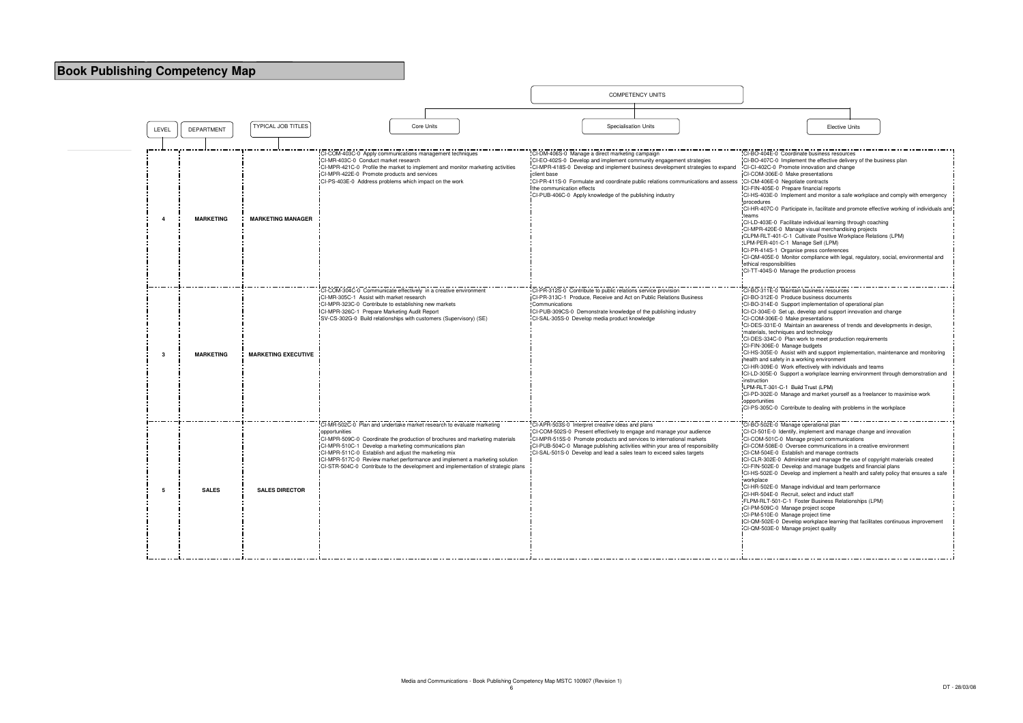|       |                  |                            |                                                                                                                                                                                                                                                                                                                                                                                                                                                            | <b>COMPETENCY UNITS</b>                                                                                                                                                                                                                                                                                                                                                                                                             |                                                                                                                                                                                                                                                                                                                                                                                                                                                                                                                                                                                                                                                                                                                                                                               |
|-------|------------------|----------------------------|------------------------------------------------------------------------------------------------------------------------------------------------------------------------------------------------------------------------------------------------------------------------------------------------------------------------------------------------------------------------------------------------------------------------------------------------------------|-------------------------------------------------------------------------------------------------------------------------------------------------------------------------------------------------------------------------------------------------------------------------------------------------------------------------------------------------------------------------------------------------------------------------------------|-------------------------------------------------------------------------------------------------------------------------------------------------------------------------------------------------------------------------------------------------------------------------------------------------------------------------------------------------------------------------------------------------------------------------------------------------------------------------------------------------------------------------------------------------------------------------------------------------------------------------------------------------------------------------------------------------------------------------------------------------------------------------------|
| LEVEL | DEPARTMENT       | <b>TYPICAL JOB TITLES</b>  | Core Units                                                                                                                                                                                                                                                                                                                                                                                                                                                 | <b>Specialisation Units</b>                                                                                                                                                                                                                                                                                                                                                                                                         | <b>Elective Units</b>                                                                                                                                                                                                                                                                                                                                                                                                                                                                                                                                                                                                                                                                                                                                                         |
|       |                  |                            |                                                                                                                                                                                                                                                                                                                                                                                                                                                            |                                                                                                                                                                                                                                                                                                                                                                                                                                     |                                                                                                                                                                                                                                                                                                                                                                                                                                                                                                                                                                                                                                                                                                                                                                               |
|       | <b>MARKETING</b> | <b>MARKETING MANAGER</b>   | CI-COM-403C-0 Apply communications management techniques<br>CI-MR-403C-0 Conduct market research<br>CI-MPR-421C-0 Profile the market to implement and monitor marketing activities<br>CI-MPR-422E-0 Promote products and services<br>CI-PS-403E-0 Address problems which impact on the work                                                                                                                                                                | CI-DM-406S-0 Manage a direct marketing campaign<br>CI-EO-402S-0 Develop and implement community engagement strategies<br>CI-MPR-418S-0 Develop and implement business development strategies to expand<br>client base<br>CI-PR-411S-0 Formulate and coordinate public relations communications and assess CI-CM-406E-0 Negotiate contracts<br>the communication effects<br>CI-PUB-406C-0 Apply knowledge of the publishing industry | CI-BO-404E-0 Coordinate business resources<br>CI-BO-407C-0 Implement the effective delivery<br>CI-CI-402C-0 Promote innovation and change<br>ICI-COM-306E-0 Make presentations<br>CI-FIN-405E-0 Prepare financial reports<br>CI-HS-403E-0 Implement and monitor a safe wo<br>procedures<br>CI-HR-407C-0 Participate in, facilitate and prom<br>teams<br>CI-LD-403E-0 Facilitate individual learning throu<br>CI-MPR-420E-0 Manage visual merchandising p<br>CLPM-RLT-401-C-1 Cultivate Positive Workplad<br>LPM-PER-401-C-1 Manage Self (LPM)<br>ICI-PR-414S-1 Organise press conferences<br>CI-QM-405E-0 Monitor compliance with legal, re<br>ethical responsibilities<br>CI-TT-404S-0 Manage the production process                                                         |
| -3    | <b>MARKETING</b> | <b>MARKETING EXECUTIVE</b> | CI-COM-304C-0 Communicate effectively in a creative environment<br>CI-MR-305C-1 Assist with market research<br>CI-MPR-323C-0 Contribute to establishing new markets<br>CI-MPR-326C-1 Prepare Marketing Audit Report<br>SV-CS-302G-0 Build relationships with customers (Supervisory) (SE)                                                                                                                                                                  | CI-PR-312S-0 Contribute to public relations service provision<br>CI-PR-313C-1 Produce, Receive and Act on Public Relations Business<br>Communications<br>CI-PUB-309CS-0 Demonstrate knowledge of the publishing industry<br>CI-SAL-305S-0 Develop media product knowledge                                                                                                                                                           | CI-BO-311E-0 Maintain business resources<br>CI-BO-312E-0 Produce business documents<br>CI-BO-314E-0 Support implementation of opera<br>CI-CI-304E-0 Set up, develop and support innov<br>CI-COM-306E-0 Make presentations<br>CI-DES-331E-0 Maintain an awareness of trend<br>materials, techniques and technology<br>CI-DES-334C-0 Plan work to meet production re<br>CI-FIN-306E-0 Manage budgets<br>CI-HS-305E-0 Assist with and support implement<br>health and safety in a working environment<br>CI-HR-309E-0 Work effectively with individuals<br>CI-LD-305E-0 Support a workplace learning env<br>instruction<br>LPM-RLT-301-C-1 Build Trust (LPM)<br>CI-PD-302E-0 Manage and market yourself as a<br>opportunities<br>CI-PS-305C-0 Contribute to dealing with probler |
| 5     | <b>SALES</b>     | <b>SALES DIRECTOR</b>      | CI-MR-502C-0 Plan and undertake market research to evaluate marketing<br>opportunities<br>CI-MPR-509C-0 Coordinate the production of brochures and marketing materials<br>CI-MPR-510C-1 Develop a marketing communications plan<br>CI-MPR-511C-0 Establish and adjust the marketing mix<br>CI-MPR-517C-0 Review market performance and implement a marketing solution<br>CI-STR-504C-0 Contribute to the development and implementation of strategic plans | CI-APR-503S-0 Interpret creative ideas and plans<br>CI-COM-502S-0 Present effectively to engage and manage your audience<br>CI-MPR-515S-0 Promote products and services to international markets<br>CI-PUB-504C-0 Manage publishing activities within your area of responsibility<br>CI-SAL-501S-0 Develop and lead a sales team to exceed sales targets                                                                            | CI-BO-502E-0 Manage operational plan<br>CI-CI-501E-0 Identify, implement and manage o<br>CI-COM-501C-0 Manage project communication<br>CI-COM-508E-0 Oversee communications in a<br>CI-CM-504E-0 Establish and manage contracts<br>CI-CLR-302E-0 Administer and manage the use<br>CI-FIN-502E-0 Develop and manage budgets a<br>CI-HS-502E-0 Develop and implement a health<br>workplace<br>CI-HR-502E-0 Manage individual and team perf<br>CI-HR-504E-0 Recruit, select and induct staff<br>FLPM-RLT-501-C-1 Foster Business Relationsh<br>CI-PM-509C-0 Manage project scope<br>CI-PM-510E-0 Manage project time<br>ICI-QM-502E-0 Develop workplace learning that<br>CI-QM-503E-0 Manage project quality                                                                     |

|                                                                                                                                                                                                                                                                                                                                                                                                                                                                                                                                                                                                                                                                                                                                                                                                      | <b>Elective Units</b> |                                                                                                                                                                                                                                                                |
|------------------------------------------------------------------------------------------------------------------------------------------------------------------------------------------------------------------------------------------------------------------------------------------------------------------------------------------------------------------------------------------------------------------------------------------------------------------------------------------------------------------------------------------------------------------------------------------------------------------------------------------------------------------------------------------------------------------------------------------------------------------------------------------------------|-----------------------|----------------------------------------------------------------------------------------------------------------------------------------------------------------------------------------------------------------------------------------------------------------|
|                                                                                                                                                                                                                                                                                                                                                                                                                                                                                                                                                                                                                                                                                                                                                                                                      |                       |                                                                                                                                                                                                                                                                |
| CI-BO-404E-0 Coordinate business resources<br>CI-BO-407C-0 Implement the effective delivery of the business plan<br>CI-CI-402C-0 Promote innovation and change<br>CI-COM-306E-0 Make presentations<br>CI-CM-406E-0 Negotiate contracts<br>CI-FIN-405E-0 Prepare financial reports<br>procedures<br>teams<br>CI-LD-403E-0 Facilitate individual learning through coaching<br>CI-MPR-420E-0 Manage visual merchandising projects<br>CLPM-RLT-401-C-1 Cultivate Positive Workplace Relations (LPM)<br>LPM-PER-401-C-1 Manage Self (LPM)<br>CI-PR-414S-1 Organise press conferences<br>ethical responsibilities<br>CI-TT-404S-0 Manage the production process                                                                                                                                            |                       | CI-HS-403E-0 Implement and monitor a safe workplace and comply with emergency<br>CI-HR-407C-0 Participate in, facilitate and promote effective working of individuals and<br>CI-QM-405E-0 Monitor compliance with legal, regulatory, social, environmental and |
|                                                                                                                                                                                                                                                                                                                                                                                                                                                                                                                                                                                                                                                                                                                                                                                                      |                       |                                                                                                                                                                                                                                                                |
| CI-BO-311E-0 Maintain business resources<br>CI-BO-312E-0 Produce business documents<br>CI-BO-314E-0 Support implementation of operational plan<br>CI-CI-304E-0 Set up, develop and support innovation and change<br>CI-COM-306E-0 Make presentations<br>CI-DES-331E-0 Maintain an awareness of trends and developments in design,<br>materials, techniques and technology<br>CI-DES-334C-0 Plan work to meet production requirements<br>CI-FIN-306E-0 Manage budgets<br>health and safety in a working environment<br>CI-HR-309E-0 Work effectively with individuals and teams<br>instruction<br>LPM-RLT-301-C-1 Build Trust (LPM)<br>CI-PD-302E-0 Manage and market yourself as a freelancer to maximise work<br>opportunities<br>CI-PS-305C-0 Contribute to dealing with problems in the workplace |                       | CI-HS-305E-0 Assist with and support implementation, maintenance and monitoring<br>CI-LD-305E-0 Support a workplace learning environment through demonstration and                                                                                             |
| CI-BO-502E-0 Manage operational plan<br>CI-CI-501E-0 Identify, implement and manage change and innovation<br>CI-COM-501C-0 Manage project communications<br>CI-COM-508E-0 Oversee communications in a creative environment<br>CI-CM-504E-0 Establish and manage contracts<br>CI-CLR-302E-0 Administer and manage the use of copyright materials created<br>CI-FIN-502E-0 Develop and manage budgets and financial plans<br>workplace<br>CI-HR-502E-0 Manage individual and team performance<br>CI-HR-504E-0 Recruit, select and induct staff<br>FLPM-RLT-501-C-1 Foster Business Relationships (LPM)<br>CI-PM-509C-0 Manage project scope<br>CI-PM-510E-0 Manage project time<br>CI-QM-503E-0 Manage project quality                                                                                 |                       | CI-HS-502E-0 Develop and implement a health and safety policy that ensures a safe<br>CI-QM-502E-0 Develop workplace learning that facilitates continuous improvement                                                                                           |